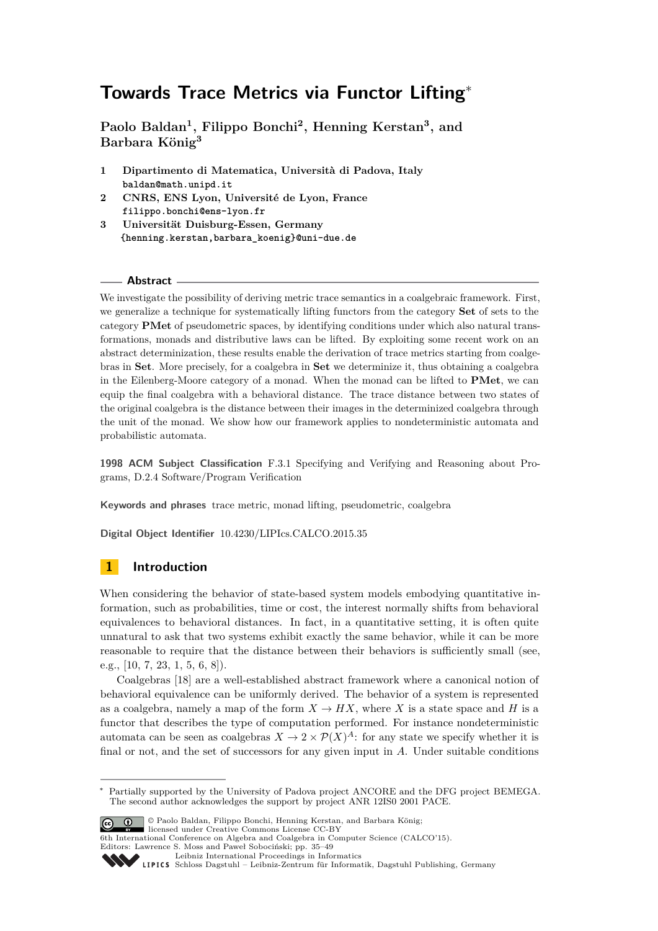**Paolo Baldan<sup>1</sup> , Filippo Bonchi<sup>2</sup> , Henning Kerstan<sup>3</sup> , and Barbara König<sup>3</sup>**

- **1 Dipartimento di Matematica, Università di Padova, Italy baldan@math.unipd.it**
- **2 CNRS, ENS Lyon, Université de Lyon, France filippo.bonchi@ens-lyon.fr**
- **3 Universität Duisburg-Essen, Germany {henning.kerstan,barbara\_koenig}@uni-due.de**

#### **Abstract**

We investigate the possibility of deriving metric trace semantics in a coalgebraic framework. First, we generalize a technique for systematically lifting functors from the category **Set** of sets to the category **PMet** of pseudometric spaces, by identifying conditions under which also natural transformations, monads and distributive laws can be lifted. By exploiting some recent work on an abstract determinization, these results enable the derivation of trace metrics starting from coalgebras in **Set**. More precisely, for a coalgebra in **Set** we determinize it, thus obtaining a coalgebra in the Eilenberg-Moore category of a monad. When the monad can be lifted to **PMet**, we can equip the final coalgebra with a behavioral distance. The trace distance between two states of the original coalgebra is the distance between their images in the determinized coalgebra through the unit of the monad. We show how our framework applies to nondeterministic automata and probabilistic automata.

**1998 ACM Subject Classification** F.3.1 Specifying and Verifying and Reasoning about Programs, D.2.4 Software/Program Verification

**Keywords and phrases** trace metric, monad lifting, pseudometric, coalgebra

**Digital Object Identifier** [10.4230/LIPIcs.CALCO.2015.35](http://dx.doi.org/10.4230/LIPIcs.CALCO.2015.35)

## **1 Introduction**

When considering the behavior of state-based system models embodying quantitative information, such as probabilities, time or cost, the interest normally shifts from behavioral equivalences to behavioral distances. In fact, in a quantitative setting, it is often quite unnatural to ask that two systems exhibit exactly the same behavior, while it can be more reasonable to require that the distance between their behaviors is sufficiently small (see, e.g., [\[10,](#page-14-0) [7,](#page-14-1) [23,](#page-14-2) [1,](#page-13-0) [5,](#page-13-1) [6,](#page-14-3) [8\]](#page-14-4)).

Coalgebras [\[18\]](#page-14-5) are a well-established abstract framework where a canonical notion of behavioral equivalence can be uniformly derived. The behavior of a system is represented as a coalgebra, namely a map of the form  $X \to HX$ , where X is a state space and H is a functor that describes the type of computation performed. For instance nondeterministic automata can be seen as coalgebras  $X \to 2 \times \mathcal{P}(X)^A$ : for any state we specify whether it is final or not, and the set of successors for any given input in *A*. Under suitable conditions

Partially supported by the University of Padova project ANCORE and the DFG project BEMEGA. The second author acknowledges the support by project ANR 12IS0 2001 PACE.



© Paolo Baldan, Filippo Bonchi, Henning Kerstan, and Barbara König; licensed under Creative Commons License CC-BY

6th International Conference on Algebra and Coalgebra in Computer Science (CALCO'15). Editors: Lawrence S. Moss and Paweł Sobociński; pp. 35[–49](#page-14-6)

[Leibniz International Proceedings in Informatics](http://www.dagstuhl.de/lipics/)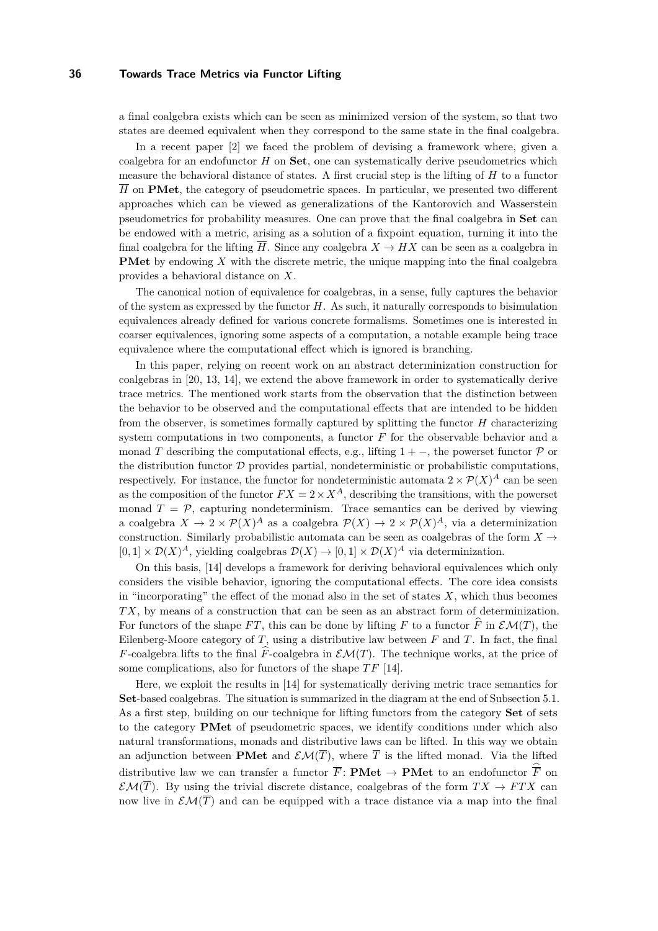a final coalgebra exists which can be seen as minimized version of the system, so that two states are deemed equivalent when they correspond to the same state in the final coalgebra.

In a recent paper [\[2\]](#page-13-2) we faced the problem of devising a framework where, given a coalgebra for an endofunctor *H* on **Set**, one can systematically derive pseudometrics which measure the behavioral distance of states. A first crucial step is the lifting of *H* to a functor  $\overline{H}$  on **PMet**, the category of pseudometric spaces. In particular, we presented two different approaches which can be viewed as generalizations of the Kantorovich and Wasserstein pseudometrics for probability measures. One can prove that the final coalgebra in **Set** can be endowed with a metric, arising as a solution of a fixpoint equation, turning it into the final coalgebra for the lifting  $\overline{H}$ . Since any coalgebra  $X \to HX$  can be seen as a coalgebra in **PMet** by endowing *X* with the discrete metric, the unique mapping into the final coalgebra provides a behavioral distance on *X*.

The canonical notion of equivalence for coalgebras, in a sense, fully captures the behavior of the system as expressed by the functor *H*. As such, it naturally corresponds to bisimulation equivalences already defined for various concrete formalisms. Sometimes one is interested in coarser equivalences, ignoring some aspects of a computation, a notable example being trace equivalence where the computational effect which is ignored is branching.

In this paper, relying on recent work on an abstract determinization construction for coalgebras in [\[20,](#page-14-7) [13,](#page-14-8) [14\]](#page-14-9), we extend the above framework in order to systematically derive trace metrics. The mentioned work starts from the observation that the distinction between the behavior to be observed and the computational effects that are intended to be hidden from the observer, is sometimes formally captured by splitting the functor *H* characterizing system computations in two components, a functor *F* for the observable behavior and a monad *T* describing the computational effects, e.g., lifting  $1 + -$ , the powerset functor  $P$  or the distribution functor  $D$  provides partial, nondeterministic or probabilistic computations, respectively. For instance, the functor for nondeterministic automata  $2 \times \mathcal{P}(X)^A$  can be seen as the composition of the functor  $FX = 2 \times X^A$ , describing the transitions, with the powerset monad  $T = \mathcal{P}$ , capturing nondeterminism. Trace semantics can be derived by viewing a coalgebra  $X \to 2 \times \mathcal{P}(X)^A$  as a coalgebra  $\mathcal{P}(X) \to 2 \times \mathcal{P}(X)^A$ , via a determinization construction. Similarly probabilistic automata can be seen as coalgebras of the form  $X \rightarrow$  $[0,1] \times \mathcal{D}(X)^A$ , yielding coalgebras  $\mathcal{D}(X) \to [0,1] \times \mathcal{D}(X)^A$  via determinization.

On this basis, [\[14\]](#page-14-9) develops a framework for deriving behavioral equivalences which only considers the visible behavior, ignoring the computational effects. The core idea consists in "incorporating" the effect of the monad also in the set of states *X*, which thus becomes *T X*, by means of a construction that can be seen as an abstract form of determinization. For functors of the shape *FT*, this can be done by lifting *F* to a functor  $\widehat{F}$  in  $\mathcal{EM}(T)$ , the Eilenberg-Moore category of *T*, using a distributive law between *F* and *T*. In fact, the final *F*-coalgebra lifts to the final  $\hat{F}$ -coalgebra in  $\mathcal{EM}(T)$ . The technique works, at the price of some complications, also for functors of the shape  $TF$  [\[14\]](#page-14-9).

Here, we exploit the results in [\[14\]](#page-14-9) for systematically deriving metric trace semantics for **Set**-based coalgebras. The situation is summarized in the diagram at the end of [Subsection 5.1.](#page-9-0) As a first step, building on our technique for lifting functors from the category **Set** of sets to the category **PMet** of pseudometric spaces, we identify conditions under which also natural transformations, monads and distributive laws can be lifted. In this way we obtain an adjunction between **PMet** and  $\mathcal{EM}(\overline{T})$ , where  $\overline{T}$  is the lifted monad. Via the lifted distributive law we can transfer a functor  $\overline{F}$ : **PMet**  $\rightarrow$  **PMet** to an endofunctor  $\overline{\hat{F}}$  on  $\mathcal{EM}(\overline{T})$ . By using the trivial discrete distance, coalgebras of the form  $TX \to FTX$  can now live in  $\mathcal{EM}(\overline{T})$  and can be equipped with a trace distance via a map into the final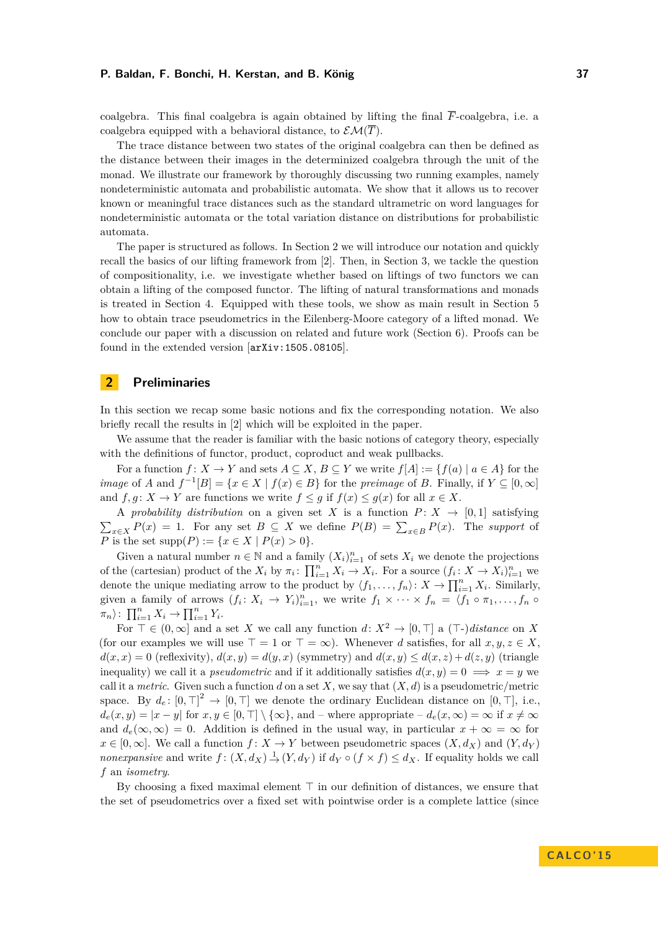coalgebra. This final coalgebra is again obtained by lifting the final  $\overline{F}$ -coalgebra, i.e. a coalgebra equipped with a behavioral distance, to  $\mathcal{EM}(\overline{T})$ .

The trace distance between two states of the original coalgebra can then be defined as the distance between their images in the determinized coalgebra through the unit of the monad. We illustrate our framework by thoroughly discussing two running examples, namely nondeterministic automata and probabilistic automata. We show that it allows us to recover known or meaningful trace distances such as the standard ultrametric on word languages for nondeterministic automata or the total variation distance on distributions for probabilistic automata.

The paper is structured as follows. In [Section 2](#page-2-0) we will introduce our notation and quickly recall the basics of our lifting framework from [\[2\]](#page-13-2). Then, in [Section 3,](#page-5-0) we tackle the question of compositionality, i.e. we investigate whether based on liftings of two functors we can obtain a lifting of the composed functor. The lifting of natural transformations and monads is treated in [Section 4.](#page-7-0) Equipped with these tools, we show as main result in [Section 5](#page-8-0) how to obtain trace pseudometrics in the Eilenberg-Moore category of a lifted monad. We conclude our paper with a discussion on related and future work [\(Section 6\)](#page-12-0). Proofs can be found in the extended version [[arXiv:1505.08105](http://arxiv.org/abs/1505.08105)].

## <span id="page-2-0"></span>**2 Preliminaries**

In this section we recap some basic notions and fix the corresponding notation. We also briefly recall the results in [\[2\]](#page-13-2) which will be exploited in the paper.

We assume that the reader is familiar with the basic notions of category theory, especially with the definitions of functor, product, coproduct and weak pullbacks.

For a function  $f: X \to Y$  and sets  $A \subseteq X, B \subseteq Y$  we write  $f[A] := \{f(a) \mid a \in A\}$  for the *image* of *A* and  $f^{-1}[B] = \{x \in X \mid f(x) \in B\}$  for the *preimage* of *B*. Finally, if  $Y \subseteq [0, \infty]$ and  $f, g: X \to Y$  are functions we write  $f \leq g$  if  $f(x) \leq g(x)$  for all  $x \in X$ .

A *probability distribution* on a given set *X* is a function  $P: X \rightarrow [0,1]$  satisfying  $\sum_{x \in X} P(x) = 1$ . For any set  $B \subseteq X$  we define  $P(B) = \sum_{x \in B} P(x)$ . The *support* of *P* is the set supp $(P) := \{x \in X \mid P(x) > 0\}.$ 

Given a natural number  $n \in \mathbb{N}$  and a family  $(X_i)_{i=1}^n$  of sets  $X_i$  we denote the projections of the (cartesian) product of the  $X_i$  by  $\pi_i$ :  $\prod_{i=1}^n X_i \to X_i$ . For a source  $(f_i: X \to X_i)_{i=1}^n$  we denote the unique mediating arrow to the product by  $\langle f_1, \ldots, f_n \rangle: X \to \prod_{i=1}^n X_i$ . Similarly, given a family of arrows  $(f_i: X_i \to Y_i)_{i=1}^n$ , we write  $f_1 \times \cdots \times f_n = \langle f_1 \circ \pi_1, \ldots, f_n \circ f_n \rangle$  $\pi_n$ :  $\prod_{i=1}^n X_i \to \prod_{i=1}^n Y_i$ .

For  $\top \in (0, \infty]$  and a set X we call any function  $d: X^2 \to [0, \top]$  a  $(\top)$ *distance* on X (for our examples we will use  $\top = 1$  or  $\top = \infty$ ). Whenever *d* satisfies, for all  $x, y, z \in X$ .  $d(x, x) = 0$  (reflexivity),  $d(x, y) = d(y, x)$  (symmetry) and  $d(x, y) \leq d(x, z) + d(z, y)$  (triangle inequality) we call it a *pseudometric* and if it additionally satisfies  $d(x, y) = 0 \implies x = y$  we call it a *metric*. Given such a function *d* on a set *X*, we say that  $(X, d)$  is a pseudometric/metric space. By  $d_e: [0, \top]^2 \to [0, \top]$  we denote the ordinary Euclidean distance on  $[0, \top]$ , i.e.,  $d_e(x, y) = |x - y|$  for  $x, y \in [0, \top] \setminus \{\infty\}$ , and – where appropriate –  $d_e(x, \infty) = \infty$  if  $x \neq \infty$ and  $d_e(\infty, \infty) = 0$ . Addition is defined in the usual way, in particular  $x + \infty = \infty$  for  $x \in [0, \infty]$ . We call a function  $f: X \to Y$  between pseudometric spaces  $(X, d_X)$  and  $(Y, d_Y)$ *nonexpansive* and write  $f: (X, d_X) \to (Y, d_Y)$  if  $d_Y \circ (f \times f) \leq d_X$ . If equality holds we call *f* an *isometry*.

By choosing a fixed maximal element  $\top$  in our definition of distances, we ensure that the set of pseudometrics over a fixed set with pointwise order is a complete lattice (since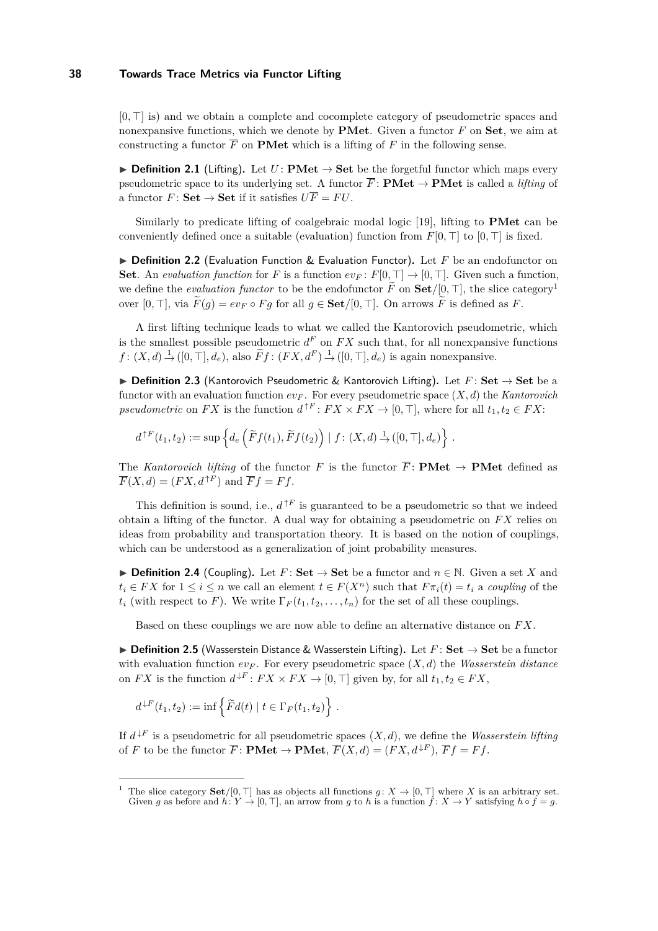$[0, \top]$  is) and we obtain a complete and cocomplete category of pseudometric spaces and nonexpansive functions, which we denote by **PMet**. Given a functor *F* on **Set**, we aim at constructing a functor  $\overline{F}$  on **PMet** which is a lifting of  $F$  in the following sense.

**► Definition 2.1** (Lifting). Let  $U: \mathbf{PMet} \to \mathbf{Set}$  be the forgetful functor which maps every pseudometric space to its underlying set. A functor  $\overline{F}$ : **PMet**  $\rightarrow$  **PMet** is called a *lifting* of a functor  $F:$  **Set**  $\rightarrow$  **Set** if it satisfies  $U\overline{F} = FU$ .

Similarly to predicate lifting of coalgebraic modal logic [\[19\]](#page-14-10), lifting to **PMet** can be conveniently defined once a suitable (evaluation) function from  $F[0, \top]$  to  $[0, \top]$  is fixed.

▶ Definition 2.2 (Evaluation Function & Evaluation Functor). Let *F* be an endofunctor on **Set**. An *evaluation function* for *F* is a function  $ev_F: F[0, \top] \to [0, \top]$ . Given such a function, we define the *evaluation functor* to be the endofunctor  $\tilde{F}$  on  $\mathbf{Set}/[0, \top]$ , the slice category<sup>[1](#page-3-0)</sup> over  $[0, \top]$ , via  $\widetilde{F}(g) = ev_F \circ Fg$  for all  $g \in \mathbf{Set}/[0, \top]$ . On arrows  $\widetilde{F}$  is defined as *F*.

A first lifting technique leads to what we called the Kantorovich pseudometric, which is the smallest possible pseudometric  $d^F$  on  $FX$  such that, for all nonexpansive functions  $f: (X, d) \to ([0, \top], d_e)$ , also  $\widetilde{F}f: (FX, d^F) \to ([0, \top], d_e)$  is again nonexpansive.

**▶ Definition 2.3** (Kantorovich Pseudometric & Kantorovich Lifting). Let  $F:$  Set  $\rightarrow$  Set be a functor with an evaluation function  $ev_F$ . For every pseudometric space  $(X, d)$  the *Kantorovich pseudometric* on *FX* is the function  $d^{\uparrow F}: FX \times FX \to [0, \top]$ , where for all  $t_1, t_2 \in FX$ :

$$
d^{\uparrow F}(t_1, t_2) := \sup \left\{ d_e \left( \widetilde{F} f(t_1), \widetilde{F} f(t_2) \right) \mid f : (X, d) \stackrel{1}{\rightarrow} ([0, \top], d_e) \right\}.
$$

The *Kantorovich lifting* of the functor *F* is the functor  $\overline{F}$ : **PMet**  $\rightarrow$  **PMet** defined as  $\overline{F}(X, d) = (FX, d^{\uparrow F})$  and  $\overline{F}f = Ff$ .

This definition is sound, i.e.,  $d^{\uparrow F}$  is guaranteed to be a pseudometric so that we indeed obtain a lifting of the functor. A dual way for obtaining a pseudometric on *F X* relies on ideas from probability and transportation theory. It is based on the notion of couplings, which can be understood as a generalization of joint probability measures.

▶ **Definition 2.4** (Coupling). Let  $F:$  **Set**  $\rightarrow$  **Set** be a functor and  $n \in \mathbb{N}$ . Given a set *X* and  $t_i \in FX$  for  $1 \leq i \leq n$  we call an element  $t \in F(X^n)$  such that  $F \pi_i(t) = t_i$  a *coupling* of the  $t_i$  (with respect to *F*). We write  $\Gamma_F(t_1, t_2, \ldots, t_n)$  for the set of all these couplings.

Based on these couplings we are now able to define an alternative distance on *F X*.

<span id="page-3-1"></span>**▶ Definition 2.5** (Wasserstein Distance & Wasserstein Lifting). Let  $F$ : Set  $\rightarrow$  Set be a functor with evaluation function  $ev_F$ . For every pseudometric space  $(X, d)$  the *Wasserstein distance* on  $FX$  is the function  $d^{\downarrow F}: FX \times FX \to [0, \top]$  given by, for all  $t_1, t_2 \in FX$ ,

$$
d^{\downarrow F}(t_1, t_2) := \inf \left\{ \widetilde{F}d(t) \mid t \in \Gamma_F(t_1, t_2) \right\}.
$$

If  $d^{F}$  is a pseudometric for all pseudometric spaces  $(X, d)$ , we define the *Wasserstein lifting* of *F* to be the functor  $\overline{F}$ : **PMet**  $\rightarrow$  **PMet**,  $\overline{F}(X, d) = (FX, d^{\downarrow F})$ ,  $\overline{F}f = Ff$ .

<span id="page-3-0"></span><sup>&</sup>lt;sup>1</sup> The slice category **Set**/[0,  $\top$ ] has as objects all functions  $q: X \to [0, \top]$  where *X* is an arbitrary set. Given *g* as before and  $h: Y \to [0, \top]$ , an arrow from *g* to *h* is a function  $\hat{f}: X \to Y$  satisfying  $h \circ \hat{f} = g$ .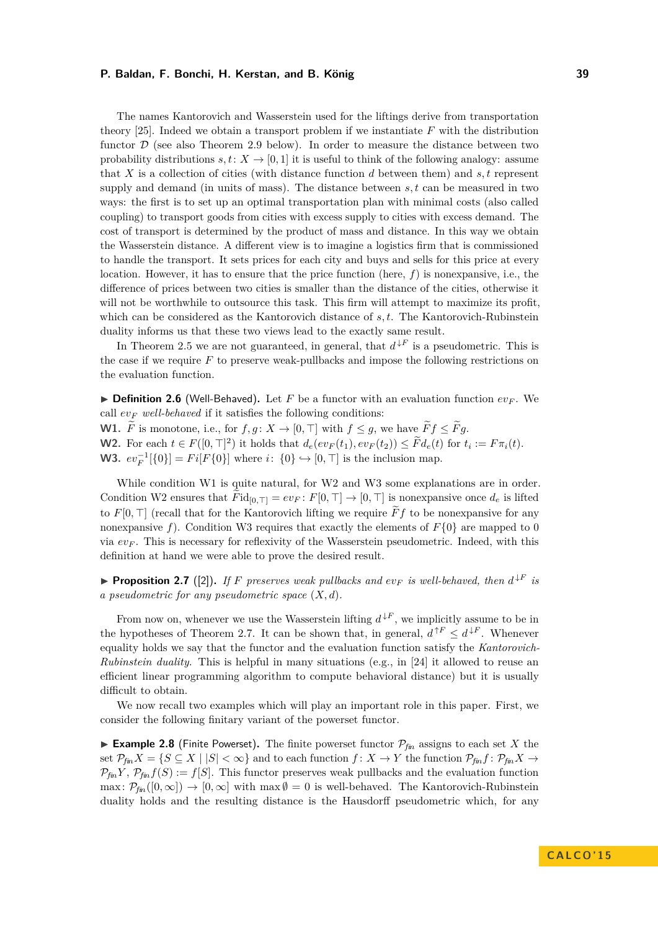The names Kantorovich and Wasserstein used for the liftings derive from transportation theory [\[25\]](#page-14-11). Indeed we obtain a transport problem if we instantiate *F* with the distribution functor  $\mathcal D$  (see also [Theorem 2.9](#page-5-1) below). In order to measure the distance between two probability distributions  $s, t: X \rightarrow [0, 1]$  it is useful to think of the following analogy: assume that *X* is a collection of cities (with distance function *d* between them) and *s, t* represent supply and demand (in units of mass). The distance between *s, t* can be measured in two ways: the first is to set up an optimal transportation plan with minimal costs (also called coupling) to transport goods from cities with excess supply to cities with excess demand. The cost of transport is determined by the product of mass and distance. In this way we obtain the Wasserstein distance. A different view is to imagine a logistics firm that is commissioned to handle the transport. It sets prices for each city and buys and sells for this price at every location. However, it has to ensure that the price function (here,  $f$ ) is nonexpansive, i.e., the difference of prices between two cities is smaller than the distance of the cities, otherwise it will not be worthwhile to outsource this task. This firm will attempt to maximize its profit, which can be considered as the Kantorovich distance of *s, t*. The Kantorovich-Rubinstein duality informs us that these two views lead to the exactly same result.

In [Theorem 2.5](#page-3-1) we are not guaranteed, in general, that  $d^{\downarrow F}$  is a pseudometric. This is the case if we require *F* to preserve weak-pullbacks and impose the following restrictions on the evaluation function.

 $\triangleright$  **Definition 2.6** (Well-Behaved). Let *F* be a functor with an evaluation function  $ev_F$ . We call  $ev_F$  *well-behaved* if it satisfies the following conditions: **W1.**  $\tilde{F}$  is monotone, i.e., for  $f, g: X \to [0, \top]$  with  $f \leq g$ , we have  $\tilde{F}f \leq \tilde{F}g$ .

**W2.** For each  $t \in F([0, \top]^2)$  it holds that  $d_e(ev_F(t_1), ev_F(t_2)) \leq \tilde{F}d_e(t)$  for  $t_i := F\pi_i(t)$ .

**W3.**  $ev_F^{-1}[\{0\}] = Fi[F\{0\}]$  where *i*: {0} → [0, ⊤] is the inclusion map.

While condition W1 is quite natural, for W2 and W3 some explanations are in order. Condition W2 ensures that  $Fid_{[0,1]} = ev_F : F[0,1] \to [0,1]$  is nonexpansive once  $d_e$  is lifted to  $F[0, \top]$  (recall that for the Kantorovich lifting we require  $\widetilde{F}f$  to be nonexpansive for any nonexpansive f). Condition W3 requires that exactly the elements of  $F\{0\}$  are mapped to 0 via *ev<sup>F</sup>* . This is necessary for reflexivity of the Wasserstein pseudometric. Indeed, with this definition at hand we were able to prove the desired result.

<span id="page-4-0"></span>**Proposition 2.7** ([\[2\]](#page-13-2)). If F preserves weak pullbacks and  $ev_F$  is well-behaved, then  $d^{\downarrow F}$  is *a pseudometric for any pseudometric space* (*X, d*)*.*

From now on, whenever we use the Wasserstein lifting  $d^{\downarrow F}$ , we implicitly assume to be in the hypotheses of [Theorem 2.7.](#page-4-0) It can be shown that, in general,  $d^{\uparrow F} \leq d^{\downarrow F}$ . Whenever equality holds we say that the functor and the evaluation function satisfy the *Kantorovich-Rubinstein duality*. This is helpful in many situations (e.g., in [\[24\]](#page-14-12) it allowed to reuse an efficient linear programming algorithm to compute behavioral distance) but it is usually difficult to obtain.

We now recall two examples which will play an important role in this paper. First, we consider the following finitary variant of the powerset functor.

<span id="page-4-1"></span>**Example 2.8** (Finite Powerset). The finite powerset functor  $\mathcal{P}_{\mathit{fin}}$  assigns to each set *X* the set  $\mathcal{P}_{\text{fin}}X = \{S \subseteq X \mid |S| < \infty\}$  and to each function  $f: X \to Y$  the function  $\mathcal{P}_{\text{fin}}f: \mathcal{P}_{\text{fin}}X \to Y$  $\mathcal{P}_{\textit{fin}} Y$ ,  $\mathcal{P}_{\textit{fin}} f(S) := f[S]$ . This functor preserves weak pullbacks and the evaluation function max:  $\mathcal{P}_{fin}([0,\infty]) \to [0,\infty]$  with max  $\emptyset = 0$  is well-behaved. The Kantorovich-Rubinstein duality holds and the resulting distance is the Hausdorff pseudometric which, for any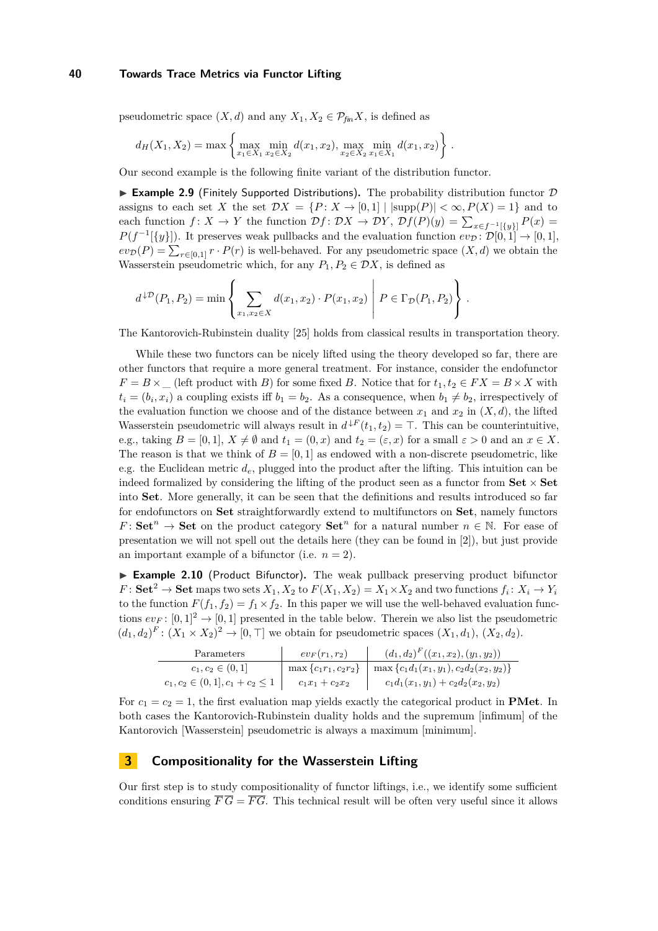pseudometric space  $(X, d)$  and any  $X_1, X_2 \in \mathcal{P}_{fm}X$ , is defined as

$$
d_H(X_1, X_2) = \max \left\{ \max_{x_1 \in X_1} \min_{x_2 \in X_2} d(x_1, x_2), \max_{x_2 \in X_2} \min_{x_1 \in X_1} d(x_1, x_2) \right\}.
$$

Our second example is the following finite variant of the distribution functor.

<span id="page-5-1"></span>**Example 2.9** (Finitely Supported Distributions). The probability distribution functor  $D$ assigns to each set *X* the set  $\mathcal{D}X = \{P: X \to [0,1] \mid |\text{supp}(P)| < \infty, P(X) = 1\}$  and to each function  $f: X \to Y$  the function  $\mathcal{D}f: \mathcal{D}X \to \mathcal{D}Y$ ,  $\mathcal{D}f(P)(y) = \sum_{x \in f^{-1}[\{y\}]} P(x) =$  $P(f^{-1}[\{y\}])$ . It preserves weak pullbacks and the evaluation function  $ev_{\mathcal{D}}: \mathcal{D}[0,1] \to [0,1],$  $ev_{\mathcal{D}}(P) = \sum_{r \in [0,1]} r \cdot P(r)$  is well-behaved. For any pseudometric space  $(X, d)$  we obtain the Wasserstein pseudometric which, for any  $P_1, P_2 \in \mathcal{D}X$ , is defined as

$$
d^{\downarrow \mathcal{D}}(P_1, P_2) = \min \left\{ \sum_{x_1, x_2 \in X} d(x_1, x_2) \cdot P(x_1, x_2) \middle| P \in \Gamma_{\mathcal{D}}(P_1, P_2) \right\}.
$$

The Kantorovich-Rubinstein duality [\[25\]](#page-14-11) holds from classical results in transportation theory.

While these two functors can be nicely lifted using the theory developed so far, there are other functors that require a more general treatment. For instance, consider the endofunctor  $F = B \times \text{(left product with } B \text{)}$  for some fixed *B*. Notice that for  $t_1, t_2 \in FX = B \times X$  with  $t_i = (b_i, x_i)$  a coupling exists iff  $b_1 = b_2$ . As a consequence, when  $b_1 \neq b_2$ , irrespectively of the evaluation function we choose and of the distance between  $x_1$  and  $x_2$  in  $(X, d)$ , the lifted Wasserstein pseudometric will always result in  $d^{\downarrow F}(t_1, t_2) = \top$ . This can be counterintuitive, e.g., taking  $B = [0, 1], X \neq \emptyset$  and  $t_1 = (0, x)$  and  $t_2 = (\varepsilon, x)$  for a small  $\varepsilon > 0$  and an  $x \in X$ . The reason is that we think of  $B = [0, 1]$  as endowed with a non-discrete pseudometric, like e.g. the Euclidean metric *de*, plugged into the product after the lifting. This intuition can be indeed formalized by considering the lifting of the product seen as a functor from  $\textbf{Set} \times \textbf{Set}$ into **Set**. More generally, it can be seen that the definitions and results introduced so far for endofunctors on **Set** straightforwardly extend to multifunctors on **Set**, namely functors *F*: **Set**<sup>*n*</sup>  $\rightarrow$  **Set** on the product category **Set**<sup>*n*</sup> for a natural number *n* ∈ N. For ease of presentation we will not spell out the details here (they can be found in [\[2\]](#page-13-2)), but just provide an important example of a bifunctor (i.e.  $n = 2$ ).

<span id="page-5-2"></span>► **Example 2.10** (Product Bifunctor). The weak pullback preserving product bifunctor  $F:$  **Set**<sup>2</sup>  $\rightarrow$  **Set** maps two sets  $X_1, X_2$  to  $F(X_1, X_2) = X_1 \times X_2$  and two functions  $f_i: X_i \rightarrow Y_i$ to the function  $F(f_1, f_2) = f_1 \times f_2$ . In this paper we will use the well-behaved evaluation functions  $ev_F: [0,1]^2 \to [0,1]$  presented in the table below. Therein we also list the pseudometric  $(d_1, d_2)^F : (X_1 \times X_2)^2 \to [0, \top]$  we obtain for pseudometric spaces  $(X_1, d_1), (X_2, d_2)$ .

| Parameters                             | $ev_F(r_1,r_2)$ | $(d_1, d_2)^F((x_1, x_2), (y_1, y_2))$                                  |
|----------------------------------------|-----------------|-------------------------------------------------------------------------|
| $c_1, c_2 \in (0,1]$                   |                 | $\max \{c_1r_1,c_2r_2\} \mid \max \{c_1d_1(x_1,y_1),c_2d_2(x_2,y_2)\}\$ |
| $c_1, c_2 \in (0,1], c_1 + c_2 \leq 1$ | $c_1x_1+c_2x_2$ | $c_1d_1(x_1,y_1)+c_2d_2(x_2,y_2)$                                       |

For  $c_1 = c_2 = 1$ , the first evaluation map yields exactly the categorical product in **PMet**. In both cases the Kantorovich-Rubinstein duality holds and the supremum [infimum] of the Kantorovich [Wasserstein] pseudometric is always a maximum [minimum].

## <span id="page-5-0"></span>**3 Compositionality for the Wasserstein Lifting**

Our first step is to study compositionality of functor liftings, i.e., we identify some sufficient conditions ensuring  $\overline{F}\overline{G} = \overline{FG}$ . This technical result will be often very useful since it allows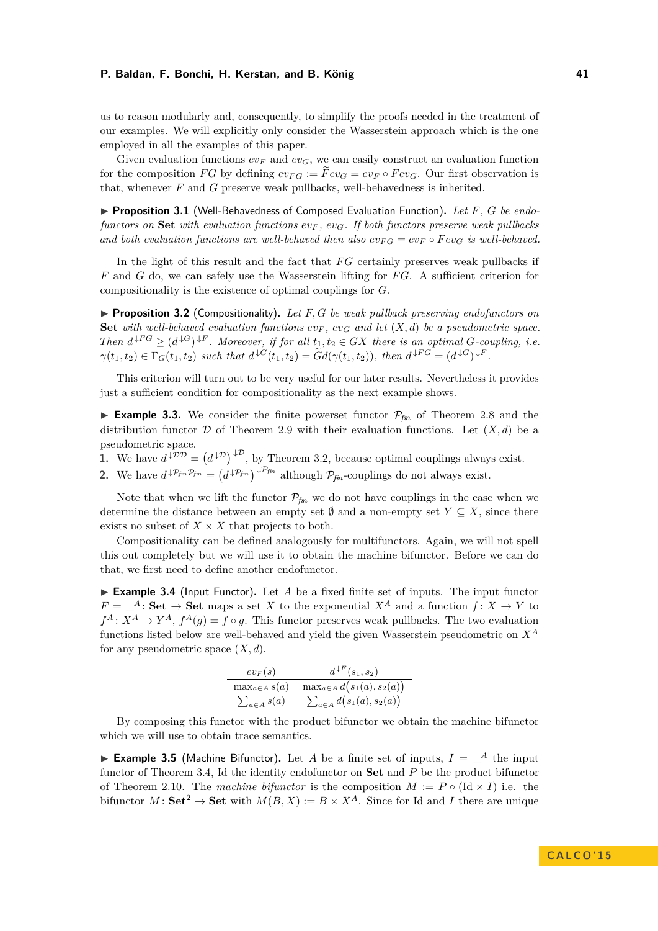us to reason modularly and, consequently, to simplify the proofs needed in the treatment of our examples. We will explicitly only consider the Wasserstein approach which is the one employed in all the examples of this paper.

Given evaluation functions  $ev_F$  and  $ev_G$ , we can easily construct an evaluation function for the composition *FG* by defining  $ev_{FG} := Fev_G = ev_F \circ Fev_G$ . Our first observation is that, whenever *F* and *G* preserve weak pullbacks, well-behavedness is inherited.

▶ **Proposition 3.1** (Well-Behavedness of Composed Evaluation Function). Let F, G be endo*functors on* **Set** *with evaluation functions ev<sup>F</sup> , evG. If both functors preserve weak pullbacks* and both evaluation functions are well-behaved then also  $ev_{FG} = ev_F \circ Fev_G$  is well-behaved.

In the light of this result and the fact that *FG* certainly preserves weak pullbacks if *F* and *G* do, we can safely use the Wasserstein lifting for *F G*. A sufficient criterion for compositionality is the existence of optimal couplings for *G*.

<span id="page-6-0"></span>▶ **Proposition 3.2** (Compositionality). Let F, G be weak pullback preserving endofunctors on **Set** *with well-behaved evaluation functions*  $ev_F$ ,  $ev_G$  and let  $(X,d)$  be a pseudometric space. *Then*  $d^{\downarrow FG} \geq (d^{\downarrow G})^{\downarrow F}$ *. Moreover, if for all*  $t_1, t_2 \in GX$  *there is an optimal G-coupling, i.e.*  $\gamma(t_1, t_2) \in \Gamma_G(t_1, t_2)$  such that  $d^{\downarrow G}(t_1, t_2) = \tilde{G}d(\gamma(t_1, t_2))$ , then  $d^{\downarrow FG} = (d^{\downarrow G})^{\downarrow F}$ .

This criterion will turn out to be very useful for our later results. Nevertheless it provides just a sufficient condition for compositionality as the next example shows.

<span id="page-6-3"></span>**Example 3.3.** We consider the finite powerset functor  $P_{fin}$  of [Theorem 2.8](#page-4-1) and the distribution functor D of [Theorem 2.9](#page-5-1) with their evaluation functions. Let  $(X, d)$  be a pseudometric space.

1. We have  $d^{\downarrow DD} = (d^{\downarrow D})^{\downarrow D}$ , by [Theorem 3.2,](#page-6-0) because optimal couplings always exist.

<span id="page-6-4"></span>**2.** We have  $d^{\downarrow p_{fin}p_{fin}} = (d^{\downarrow p_{fin}})^{\downarrow p_{fin}}$  although  $p_{fin}$ -couplings do not always exist.

Note that when we lift the functor  $P_{fin}$  we do not have couplings in the case when we determine the distance between an empty set  $\emptyset$  and a non-empty set  $Y \subseteq X$ , since there exists no subset of  $X \times X$  that projects to both.

Compositionality can be defined analogously for multifunctors. Again, we will not spell this out completely but we will use it to obtain the machine bifunctor. Before we can do that, we first need to define another endofunctor.

<span id="page-6-1"></span>► **Example 3.4** (Input Functor). Let *A* be a fixed finite set of inputs. The input functor  $F = \_A$ : **Set**  $\rightarrow$  **Set** maps a set *X* to the exponential  $X^A$  and a function  $f: X \rightarrow Y$  to  $f^A: X^A \to Y^A$ ,  $f^A(g) = f \circ g$ . This functor preserves weak pullbacks. The two evaluation functions listed below are well-behaved and yield the given Wasserstein pseudometric on *X<sup>A</sup>* for any pseudometric space (*X, d*).

| $ev_F(s)$             | $d^{\downarrow F}(s_1,s_2)$        |  |  |
|-----------------------|------------------------------------|--|--|
| $\max_{a \in A} s(a)$ | $\max_{a \in A} d(s_1(a), s_2(a))$ |  |  |
| $\sum_{a \in A} s(a)$ | $\sum_{a \in A} d(s_1(a), s_2(a))$ |  |  |

By composing this functor with the product bifunctor we obtain the machine bifunctor which we will use to obtain trace semantics.

<span id="page-6-2"></span>**Example 3.5** (Machine Bifunctor). Let *A* be a finite set of inputs,  $I = \{A\}$  the input functor of [Theorem 3.4,](#page-6-1) Id the identity endofunctor on **Set** and *P* be the product bifunctor of [Theorem 2.10.](#page-5-2) The *machine bifunctor* is the composition  $M := P \circ (\text{Id} \times I)$  i.e. the bifunctor  $M:$  **Set**<sup>2</sup>  $\rightarrow$  **Set** with  $M(B, X) := B \times X^A$ . Since for Id and *I* there are unique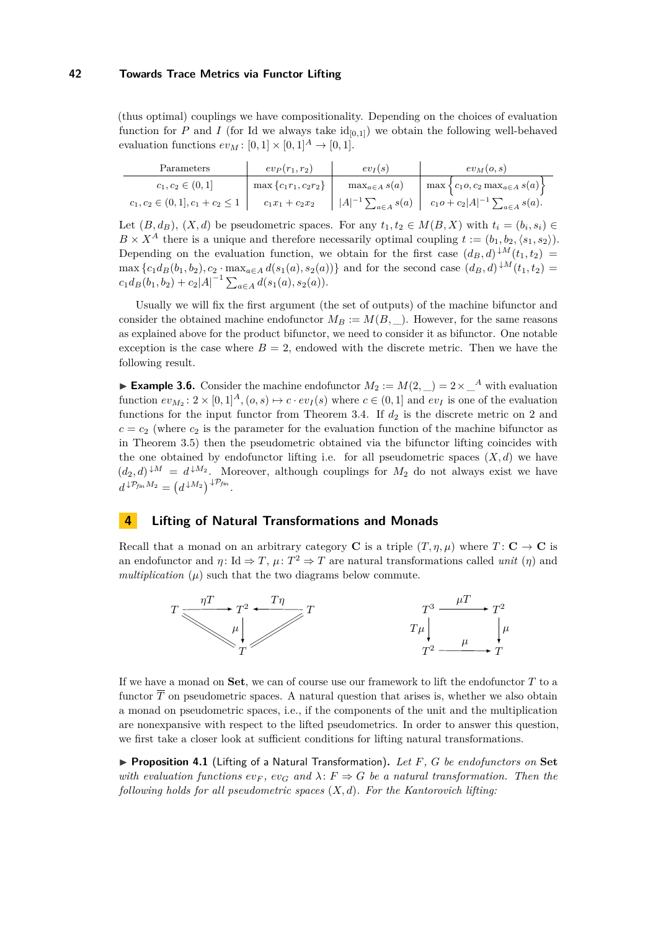(thus optimal) couplings we have compositionality. Depending on the choices of evaluation function for  $P$  and  $I$  (for Id we always take  $id_{[0,1]}$ ) we obtain the following well-behaved evaluation functions  $ev_M$ :  $[0, 1] \times [0, 1]^A \rightarrow [0, 1]$ .

| Parameters                             | $ev_P(r_1,r_2)$          | $ev_I(s)$                      | $ev_M(o,s)$                                         |
|----------------------------------------|--------------------------|--------------------------------|-----------------------------------------------------|
| $c_1, c_2 \in (0,1]$                   | $\max\{c_1r_1, c_2r_2\}$ | $\max_{a \in A} s(a)$          | $\max \left\{c_1o, c_2 \max_{a \in A} s(a)\right\}$ |
| $c_1, c_2 \in (0,1], c_1 + c_2 \leq 1$ | $c_1x_1+c_2x_2$          | $ A ^{-1} \sum_{a \in A} s(a)$ | $c_1 o + c_2  A ^{-1} \sum_{a \in A} s(a).$         |

Let  $(B, d_B)$ ,  $(X, d)$  be pseudometric spaces. For any  $t_1, t_2 \in M(B, X)$  with  $t_i = (b_i, s_i) \in$  $B \times X^A$  there is a unique and therefore necessarily optimal coupling  $t := (b_1, b_2, \langle s_1, s_2 \rangle)$ . Depending on the evaluation function, we obtain for the first case  $(d_B, d)$ <sup> $\downarrow M$ </sup> $(t_1, t_2)$  =  $\max \{c_1 d_B(b_1, b_2), c_2 \cdot \max_{a \in A} d(s_1(a), s_2(a))\}$  and for the second case  $(d_B, d) \downarrow M(t_1, t_2) =$  $c_1d_B(b_1, b_2) + c_2|A|^{-1} \sum_{a \in A} d(s_1(a), s_2(a)).$ 

Usually we will fix the first argument (the set of outputs) of the machine bifunctor and consider the obtained machine endofunctor  $M_B := M(B, \_)$ . However, for the same reasons as explained above for the product bifunctor, we need to consider it as bifunctor. One notable exception is the case where  $B = 2$ , endowed with the discrete metric. Then we have the following result.

<span id="page-7-2"></span>► Example 3.6. Consider the machine endofunctor  $M_2 := M(2, \_) = 2 \times \_A^A$  with evaluation function  $ev_{M_2}: 2 \times [0,1]^A$ ,  $(o, s) \mapsto c \cdot ev_I(s)$  where  $c \in (0,1]$  and  $ev_I$  is one of the evaluation functions for the input functor from [Theorem 3.4.](#page-6-1) If  $d_2$  is the discrete metric on 2 and  $c = c_2$  (where  $c_2$  is the parameter for the evaluation function of the machine bifunctor as in [Theorem 3.5\)](#page-6-2) then the pseudometric obtained via the bifunctor lifting coincides with the one obtained by endofunctor lifting i.e. for all pseudometric spaces  $(X, d)$  we have  $(d_2, d)^{\downarrow M} = d^{\downarrow M_2}$ . Moreover, although couplings for  $M_2$  do not always exist we have  $d^{\downarrow P_{fin} M_2} = (d^{\downarrow M_2})^{\downarrow P_{fin}}.$ 

## <span id="page-7-0"></span>**4 Lifting of Natural Transformations and Monads**

Recall that a monad on an arbitrary category **C** is a triple  $(T, \eta, \mu)$  where  $T: \mathbf{C} \to \mathbf{C}$  is an endofunctor and  $\eta: \text{Id} \Rightarrow T$ ,  $\mu: T^2 \Rightarrow T$  are natural transformations called *unit*  $(\eta)$  and *multiplication*  $(\mu)$  such that the two diagrams below commute.



If we have a monad on **Set**, we can of course use our framework to lift the endofunctor *T* to a functor  $\overline{T}$  on pseudometric spaces. A natural question that arises is, whether we also obtain a monad on pseudometric spaces, i.e., if the components of the unit and the multiplication are nonexpansive with respect to the lifted pseudometrics. In order to answer this question, we first take a closer look at sufficient conditions for lifting natural transformations.

<span id="page-7-1"></span>▶ **Proposition 4.1** (Lifting of a Natural Transformation). Let *F*, *G* be endofunctors on Set *with evaluation functions*  $ev_F$ ,  $ev_G$  and  $\lambda$ :  $F \Rightarrow G$  *be a natural transformation. Then the following holds for all pseudometric spaces* (*X, d*)*. For the Kantorovich lifting:*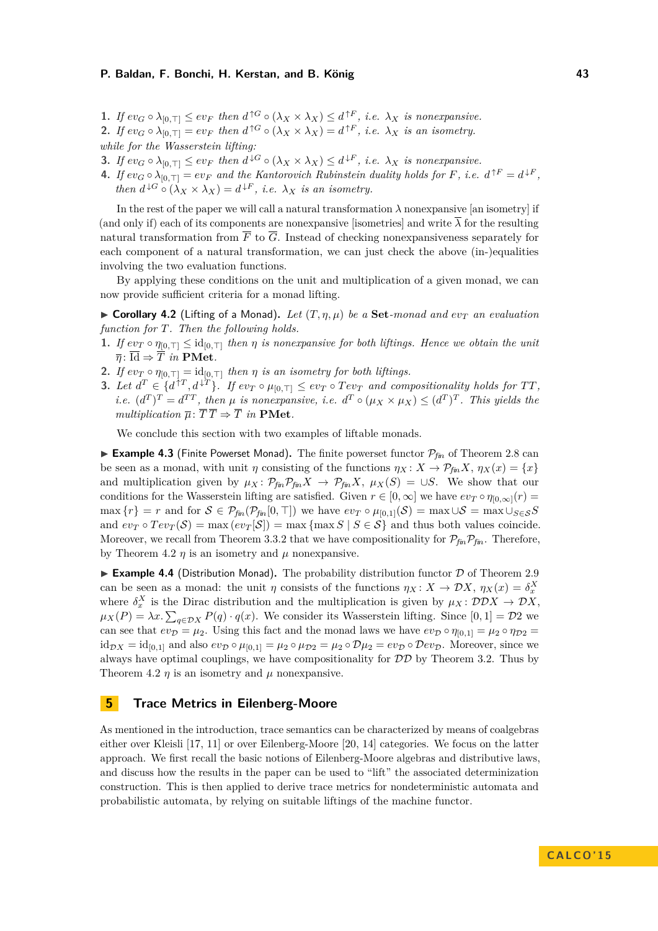- 1. If  $ev_G \circ \lambda_{[0,\top]} \leq ev_F$  then  $d^{\uparrow G} \circ (\lambda_X \times \lambda_X) \leq d^{\uparrow F}$ , *i.e.*  $\lambda_X$  *is nonexpansive.*
- **2.** If  $ev_G \circ \lambda_{[0,\top]} = ev_F$  then  $d^{\uparrow G} \circ (\lambda_X \times \lambda_X) = d^{\uparrow F}$ , i.e.  $\lambda_X$  is an isometry.

*while for the Wasserstein lifting:*

- **3.** If  $ev_G \circ \lambda_{[0,T]} \le ev_F$  then  $d^{\downarrow G} \circ (\lambda_X \times \lambda_X) \le d^{\downarrow F}$ , *i.e.*  $\lambda_X$  *is nonexpansive.*
- **4.** If  $ev_G \circ \lambda_{[0,\top]} = ev_F$  and the Kantorovich Rubinstein duality holds for F, i.e.  $d^{\uparrow F} = d^{\downarrow F}$ , *then*  $d^{\downarrow G} \circ (\lambda_X \times \lambda_X) = d^{\downarrow F}$ , *i.e.*  $\lambda_X$  *is an isometry.*

In the rest of the paper we will call a natural transformation  $\lambda$  nonexpansive [an isometry] if (and only if) each of its components are nonexpansive [isometries] and write  $\overline{\lambda}$  for the resulting natural transformation from  $\overline{F}$  to  $\overline{G}$ . Instead of checking nonexpansiveness separately for each component of a natural transformation, we can just check the above (in-)equalities involving the two evaluation functions.

By applying these conditions on the unit and multiplication of a given monad, we can now provide sufficient criteria for a monad lifting.

<span id="page-8-1"></span> $\triangleright$  **Corollary 4.2** (Lifting of a Monad). Let  $(T, \eta, \mu)$  be a Set-monad and  $ev_T$  an evaluation *function for T. Then the following holds.*

- **1.** If  $ev_T \circ \eta_{[0,T]} \leq id_{[0,T]}$  then  $\eta$  is nonexpansive for both liftings. Hence we obtain the unit  $\overline{\eta}$ :  $\overline{\text{Id}} \Rightarrow \overline{T}$  *in* **PMet***.*
- **2.** *If*  $ev_T \circ \eta_{[0,\top]} = id_{[0,\top]}$  *then*  $\eta$  *is an isometry for both liftings.*
- **3.** Let  $d^T \in \{d^{\uparrow T}, d^{\downarrow T}\}\$ . If  $ev_T \circ \mu_{[0,T]} \leq ev_T \circ Tev_T$  and compositionality holds for TT, *i.e.*  $(d^T)^T = d^{TT}$ , then  $\mu$  is nonexpansive, i.e.  $d^T \circ (\mu_X \times \mu_X) \leq (d^T)^T$ . This yields the *multiplication*  $\overline{\mu}$ :  $\overline{T} \overline{T} \Rightarrow \overline{T}$  *in* **PMet***.*

We conclude this section with two examples of liftable monads.

<span id="page-8-2"></span>**Example 4.3** (Finite Powerset Monad). The finite powerset functor  $\mathcal{P}_{\text{fin}}$  of [Theorem 2.8](#page-4-1) can be seen as a monad, with unit *η* consisting of the functions  $\eta_X : X \to \mathcal{P}_{fin} X$ ,  $\eta_X(x) = \{x\}$ and multiplication given by  $\mu_X \colon \mathcal{P}_{\text{fin}} \mathcal{P}_{\text{fin}} X \to \mathcal{P}_{\text{fin}} X$ ,  $\mu_X(S) = \cup S$ . We show that our conditions for the Wasserstein lifting are satisfied. Given  $r \in [0, \infty]$  we have  $ev_T \circ \eta_{[0,\infty]}(r) =$  $\max \{r\} = r$  and for  $S \in \mathcal{P}_{fin}(\mathcal{P}_{fin}[0, \top])$  we have  $ev_T \circ \mu_{[0,1]}(S) = \max \cup S = \max \cup_{S \in S} S$ and  $ev_T \circ Tev_T(\mathcal{S}) = \max\left\{ev_T[\mathcal{S}]\right\} = \max\left\{\max S \mid S \in \mathcal{S}\right\}$  and thus both values coincide. Moreover, we recall from [Theorem 3.3.](#page-6-3)[2](#page-6-4) that we have compositionality for  $\mathcal{P}_{\mathit{fin}}\mathcal{P}_{\mathit{fin}}$ . Therefore, by [Theorem 4.2](#page-8-1)  $\eta$  is an isometry and  $\mu$  nonexpansive.

<span id="page-8-3"></span>**Example 4.4** (Distribution Monad). The probability distribution functor  $D$  of [Theorem 2.9](#page-5-1) can be seen as a monad: the unit *η* consists of the functions  $\eta_X : X \to \mathcal{D}X$ ,  $\eta_X(x) = \delta_X^X$ where  $\delta_x^X$  is the Dirac distribution and the multiplication is given by  $\mu_X : \mathcal{D} \mathcal{D} X \to \mathcal{D} X$ ,  $\mu_X(P) = \lambda x. \sum_{q \in \mathcal{D}X} P(q) \cdot q(x).$  We consider its Wasserstein lifting. Since [0, 1] = D2 we can see that  $ev_{\mathcal{D}} = \mu_2$ . Using this fact and the monad laws we have  $ev_{\mathcal{D}} \circ \eta_{[0,1]} = \mu_2 \circ \eta_{\mathcal{D}2} =$  $id_{\mathcal{D}X} = id_{[0,1]}$  and also  $ev_{\mathcal{D}} \circ \mu_{[0,1]} = \mu_2 \circ \mu_{\mathcal{D}} = \mu_2 \circ \mathcal{D}\mu_2 = ev_{\mathcal{D}} \circ \mathcal{D}ev_{\mathcal{D}}$ . Moreover, since we always have optimal couplings, we have compositionality for  $D\mathcal{D}$  by [Theorem 3.2.](#page-6-0) Thus by [Theorem 4.2](#page-8-1)  $\eta$  is an isometry and  $\mu$  nonexpansive.

## <span id="page-8-0"></span>**5 Trace Metrics in Eilenberg-Moore**

As mentioned in the introduction, trace semantics can be characterized by means of coalgebras either over Kleisli [\[17,](#page-14-13) [11\]](#page-14-14) or over Eilenberg-Moore [\[20,](#page-14-7) [14\]](#page-14-9) categories. We focus on the latter approach. We first recall the basic notions of Eilenberg-Moore algebras and distributive laws, and discuss how the results in the paper can be used to "lift" the associated determinization construction. This is then applied to derive trace metrics for nondeterministic automata and probabilistic automata, by relying on suitable liftings of the machine functor.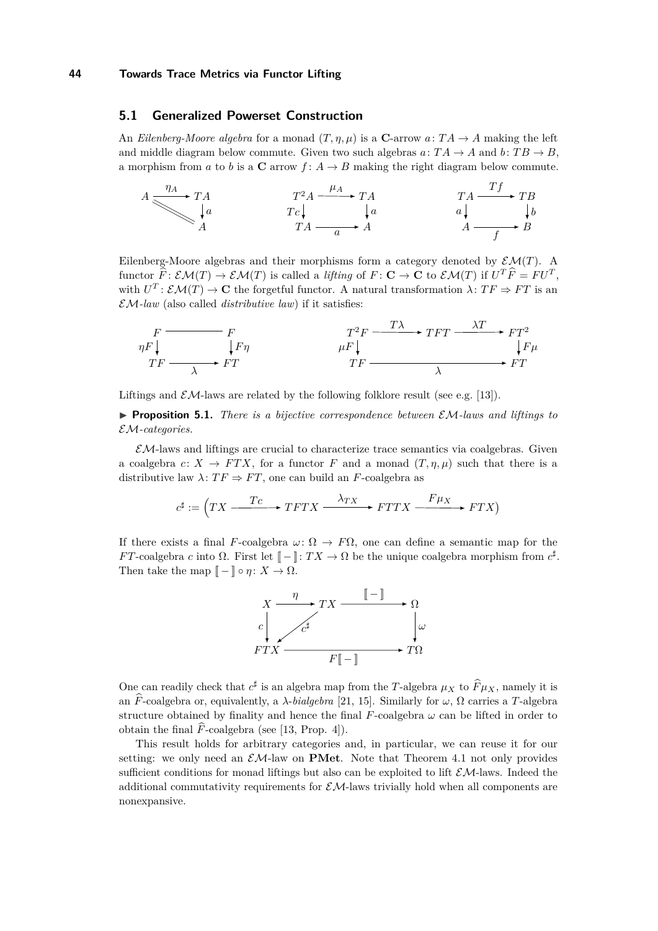## <span id="page-9-0"></span>**5.1 Generalized Powerset Construction**

An *Eilenberg-Moore algebra* for a monad  $(T, \eta, \mu)$  is a **C**-arrow  $a: TA \to A$  making the left and middle diagram below commute. Given two such algebras  $a: TA \rightarrow A$  and  $b: TB \rightarrow B$ , a morphism from *a* to *b* is a **C** arrow  $f: A \rightarrow B$  making the right diagram below commute.

$$
A \xrightarrow{\eta_A} T A \qquad T^2 A \xrightarrow{T^2 A} T A \qquad T A \xrightarrow{T A} T B
$$
\n
$$
T A \xrightarrow{T f} T B
$$
\n
$$
T A \xrightarrow{T f} T B
$$
\n
$$
T A \xrightarrow{T f} T B
$$
\n
$$
T A \xrightarrow{T f} B
$$

Eilenberg-Moore algebras and their morphisms form a category denoted by  $\mathcal{EM}(T)$ . A functor  $\hat{F}: \mathcal{EM}(T) \to \mathcal{EM}(T)$  is called a *lifting* of  $F: \mathbf{C} \to \mathbf{C}$  to  $\mathcal{EM}(T)$  if  $U^T \hat{F} = F U^T$ , with  $U^T: \mathcal{EM}(T) \to \mathbf{C}$  the forgetful functor. A natural transformation  $\lambda: TF \Rightarrow FT$  is an  $\mathcal{EM}$ -law (also called *distributive law*) if it satisfies:

$$
F \xrightarrow{\eta F \downarrow} F \qquad \qquad F \uparrow \qquad \qquad T^2 F \xrightarrow{\text{TA}} T F T \xrightarrow{\text{AT}} F T^2
$$
\n
$$
T F \xrightarrow{\text{TF}} T F \xrightarrow{\text{AT}} F T
$$
\n
$$
T F \xrightarrow{\text{AT}} T F \xrightarrow{\text{AT}} F T
$$

Liftings and  $\mathcal{EM}$ -laws are related by the following folklore result (see e.g. [\[13\]](#page-14-8)).

**Proposition 5.1.** *There is a bijective correspondence between*  $\mathcal{EM}$ -laws and liftings to EM*-categories.*

 $\mathcal{EM}$ -laws and liftings are crucial to characterize trace semantics via coalgebras. Given a coalgebra  $c: X \to FTX$ , for a functor F and a monad  $(T, \eta, \mu)$  such that there is a distributive law  $\lambda$ :  $TF \Rightarrow FT$ , one can build an *F*-coalgebra as

$$
c^{\sharp}:=\left(TX \xrightarrow{\hspace{0.5cm} Tc \hspace{0.5cm}} TFTX \xrightarrow{\hspace{0.5cm} \lambda_{TX}} FTTX \xrightarrow{\hspace{0.5cm} F\mu_X} FTX \right)
$$

If there exists a final *F*-coalgebra  $\omega: \Omega \to F\Omega$ , one can define a semantic map for the *FT*-coalgebra *c* into  $\Omega$ . First let  $[-] : TX \to \Omega$  be the unique coalgebra morphism from  $c^{\sharp}$ . Then take the map  $[-\ ] \circ \eta : X \to \Omega$ .



One can readily check that  $c^{\sharp}$  is an algebra map from the *T*-algebra  $\mu_X$  to  $\widehat{F}\mu_X$ , namely it is an  $\hat{F}$ -coalgebra or, equivalently, a *λ*-*bialgebra* [\[21,](#page-14-15) [15\]](#page-14-16). Similarly for  $\omega$ ,  $\Omega$  carries a *T*-algebra structure obtained by finality and hence the final  $F$ -coalgebra  $\omega$  can be lifted in order to obtain the final  $\widehat{F}$ -coalgebra (see [\[13,](#page-14-8) Prop. 4]).

This result holds for arbitrary categories and, in particular, we can reuse it for our setting: we only need an  $\mathcal{EM}\text{-law}$  on **PMet**. Note that [Theorem 4.1](#page-7-1) not only provides sufficient conditions for monad liftings but also can be exploited to lift  $\mathcal{EM}$ -laws. Indeed the additional commutativity requirements for  $\mathcal{EM}$ -laws trivially hold when all components are nonexpansive.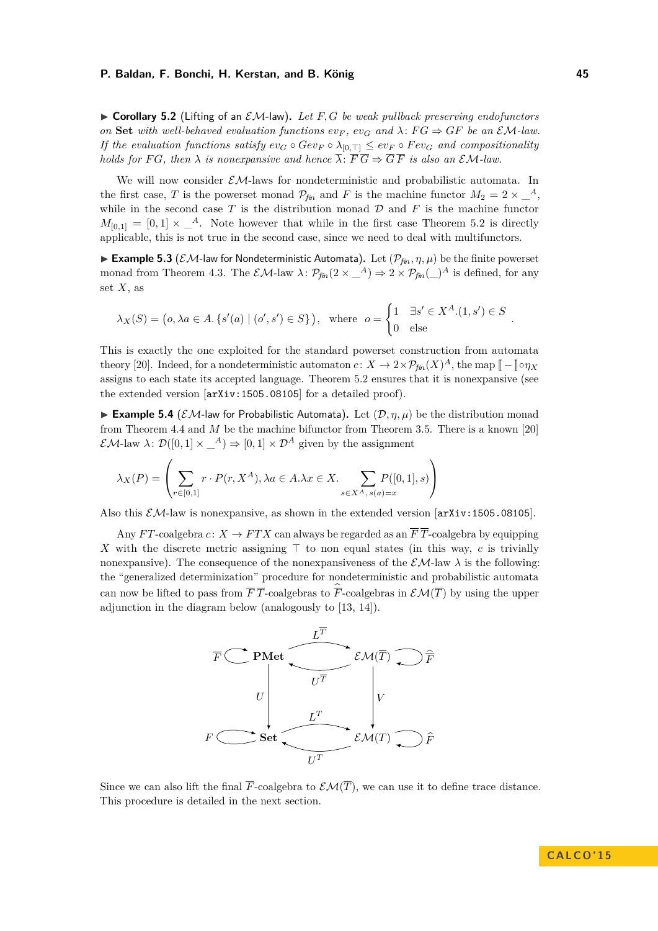<span id="page-10-0"></span> $\triangleright$  **Corollary 5.2** (Lifting of an *EM*-law). Let *F*, *G* be weak pullback preserving endofunctors *on* **Set** with well-behaved evaluation functions  $ev_F$ ,  $ev_G$  and  $\lambda$ :  $FG \Rightarrow GF$  be an  $EM$ -law. *If the evaluation functions satisfy*  $ev_G \circ Gev_F \circ \lambda_{[0, \top]} \leq ev_F \circ Fev_G$  *and compositionality holds for FG, then*  $\lambda$  *is nonexpansive and hence*  $\overline{\lambda}$ :  $\overline{F}$   $\overline{G} \Rightarrow \overline{G}$   $\overline{F}$  *is also an*  $\mathcal{EM}$ *-law.* 

We will now consider  $\mathcal{EM}$ -laws for nondeterministic and probabilistic automata. In the first case, *T* is the powerset monad  $\mathcal{P}_{\text{fin}}$  and *F* is the machine functor  $M_2 = 2 \times \frac{A}{\sqrt{2}}$ , while in the second case  $T$  is the distribution monad  $D$  and  $F$  is the machine functor  $M_{[0,1]} = [0,1] \times \_A$ . Note however that while in the first case [Theorem 5.2](#page-10-0) is directly applicable, this is not true in the second case, since we need to deal with multifunctors.

**Example 5.3** ( $\mathcal{EM}$ -law for Nondeterministic Automata). Let  $(\mathcal{P}_{fin}, \eta, \mu)$  be the finite powerset monad from [Theorem 4.3.](#page-8-2) The  $\mathcal{EM}$ -law  $\lambda \colon \mathcal{P}_{\text{fin}}(2 \times \Lambda) \to 2 \times \mathcal{P}_{\text{fin}}(\Lambda)^A$  is defined, for any set *X*, as

$$
\lambda_X(S) = \left( o, \lambda a \in A, \{ s'(a) \mid (o', s') \in S \} \right), \text{ where } o = \begin{cases} 1 & \exists s' \in X^A. (1, s') \in S \\ 0 & \text{else} \end{cases}
$$

This is exactly the one exploited for the standard powerset construction from automata theory [\[20\]](#page-14-7). Indeed, for a nondeterministic automaton  $c: X \to 2 \times \mathcal{P}_{fin}(X)^A$ , the map  $[-] \circ \eta_X$ assigns to each state its accepted language. [Theorem 5.2](#page-10-0) ensures that it is nonexpansive (see the extended version [[arXiv:1505.08105](http://arxiv.org/abs/1505.08105)] for a detailed proof).

**Example 5.4** (*EM*-law for Probabilistic Automata). Let  $(D, \eta, \mu)$  be the distribution monad from [Theorem 4.4](#page-8-3) and *M* be the machine bifunctor from [Theorem 3.5.](#page-6-2) There is a known [\[20\]](#page-14-7)  $\mathcal{EM}$ -law  $\lambda$ :  $\mathcal{D}([0,1] \times \Lambda) \Rightarrow [0,1] \times \mathcal{D}^A$  given by the assignment

$$
\lambda_X(P) = \left(\sum_{r \in [0,1]} r \cdot P(r, X^A), \lambda a \in A.\lambda x \in X. \sum_{s \in X^A, s(a) = x} P([0,1], s)\right)
$$

Also this  $EM$ -law is nonexpansive, as shown in the extended version  $[arXiv:1505.08105]$  $[arXiv:1505.08105]$  $[arXiv:1505.08105]$ .

Any *FT*-coalgebra *c*:  $X \rightarrow FTX$  can always be regarded as an  $\overline{F}T$ -coalgebra by equipping *X* with the discrete metric assigning  $\top$  to non equal states (in this way, *c* is trivially nonexpansive). The consequence of the nonexpansiveness of the  $\mathcal{EM}$ -law  $\lambda$  is the following: the "generalized determinization" procedure for nondeterministic and probabilistic automata can now be lifted to pass from  $\overline{F} \overline{T}$ -coalgebras to  $\overline{F}$ -coalgebras in  $\mathcal{EM}(\overline{T})$  by using the upper adjunction in the diagram below (analogously to [\[13,](#page-14-8) [14\]](#page-14-9)).



Since we can also lift the final  $\overline{F}$ -coalgebra to  $\mathcal{EM}(\overline{T})$ , we can use it to define trace distance. This procedure is detailed in the next section.

*.*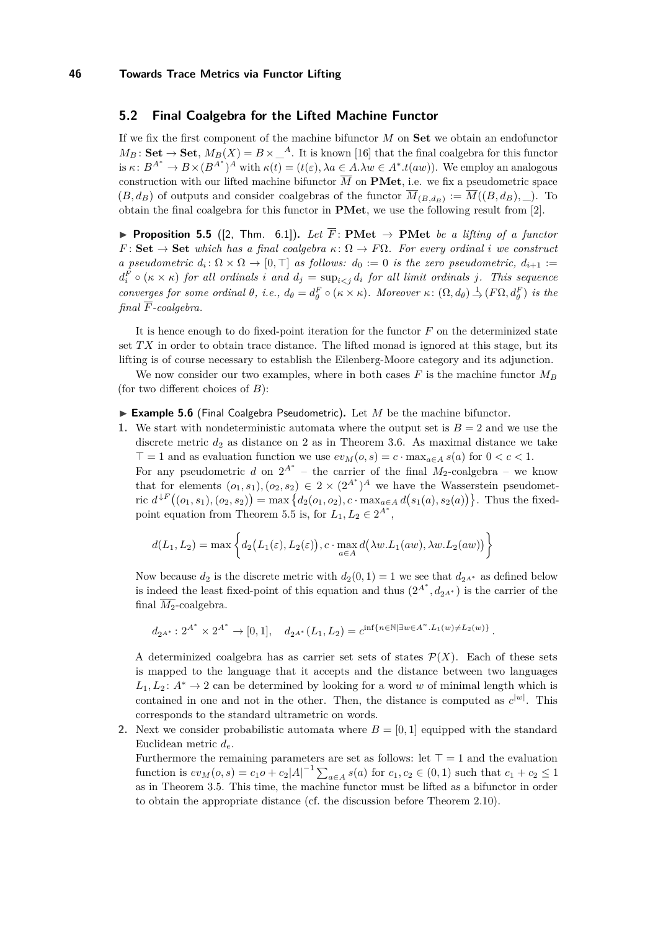## **5.2 Final Coalgebra for the Lifted Machine Functor**

If we fix the first component of the machine bifunctor *M* on **Set** we obtain an endofunctor  $M_B$ : **Set**  $\rightarrow$  **Set**,  $M_B(X) = B \times \_A^A$ . It is known [\[16\]](#page-14-17) that the final coalgebra for this functor is  $\kappa: B^{A^*} \to B \times (B^{A^*})^A$  with  $\kappa(t) = (t(\varepsilon), \lambda a \in A \cdot \lambda w \in A^* . t(aw))$ . We employ an analogous construction with our lifted machine bifunctor  $\overline{M}$  on **PMet**, i.e. we fix a pseudometric space  $(B, d_B)$  of outputs and consider coalgebras of the functor  $M_{(B, d_B)} := M((B, d_B), \_)$ . To obtain the final coalgebra for this functor in **PMet**, we use the following result from [\[2\]](#page-13-2).

<span id="page-11-0"></span>▶ **Proposition 5.5** ([\[2,](#page-13-2) Thm. 6.1]). *Let*  $\overline{F}$ : **PMet**  $\rightarrow$  **PMet** *be a lifting of a functor*  $F:$  **Set**  $\rightarrow$  **Set** *which has a final coalgebra*  $\kappa: \Omega \rightarrow F\Omega$ *. For every ordinal i we construct a* pseudometric  $d_i: \Omega \times \Omega \to [0, \top]$  as follows:  $d_0 := 0$  is the zero pseudometric,  $d_{i+1} :=$  $d_i^F \circ (\kappa \times \kappa)$  *for all ordinals i and*  $d_j = \sup_{i \leq j} d_i$  *for all limit ordinals j. This sequence* converges for some ordinal  $\theta$ , i.e.,  $d_{\theta} = d_{\theta}^{F} \circ (\kappa \times \kappa)$ . Moreover  $\kappa: (\Omega, d_{\theta}) \stackrel{1}{\to} (F\Omega, d_{\theta}^{F})$  is the *final F-coalgebra.*

It is hence enough to do fixed-point iteration for the functor *F* on the determinized state set *T X* in order to obtain trace distance. The lifted monad is ignored at this stage, but its lifting is of course necessary to establish the Eilenberg-Moore category and its adjunction.

We now consider our two examples, where in both cases  $F$  is the machine functor  $M_B$ (for two different choices of *B*):

<span id="page-11-1"></span> $\triangleright$  **Example 5.6** (Final Coalgebra Pseudometric). Let *M* be the machine bifunctor.

**1.** We start with nondeterministic automata where the output set is  $B = 2$  and we use the discrete metric  $d_2$  as distance on 2 as in [Theorem 3.6.](#page-7-2) As maximal distance we take  $\top = 1$  and as evaluation function we use  $ev_M(o, s) = c \cdot \max_{a \in A} s(a)$  for  $0 < c < 1$ .

For any pseudometric *d* on  $2^{A^*}$  – the carrier of the final  $M_2$ -coalgebra – we know that for elements  $(o_1, s_1), (o_2, s_2) \in 2 \times (2^{A^*})^A$  we have the Wasserstein pseudometric  $d^{\downarrow F}((o_1, s_1), (o_2, s_2)) = \max\{d_2(o_1, o_2), c \cdot \max_{a \in A} d(s_1(a), s_2(a))\}$ . Thus the fixed-point equation from [Theorem 5.5](#page-11-0) is, for  $L_1, L_2 \in 2^{A^*}$ ,

$$
d(L_1, L_2) = \max \left\{ d_2(L_1(\varepsilon), L_2(\varepsilon)), c \cdot \max_{a \in A} d(\lambda w. L_1(aw), \lambda w. L_2(aw)) \right\}
$$

Now because  $d_2$  is the discrete metric with  $d_2(0,1) = 1$  we see that  $d_{2^{A^*}}$  as defined below is indeed the least fixed-point of this equation and thus  $(2^{A^*}, d_{2^{A^*}})$  is the carrier of the final  $\overline{M_2}$ -coalgebra.

$$
d_{2^{A^*}}: 2^{A^*} \times 2^{A^*} \to [0,1], \quad d_{2^{A^*}}(L_1, L_2) = c^{\inf\{n \in \mathbb{N} \mid \exists w \in A^n \cdot L_1(w) \neq L_2(w)\}}.
$$

A determinized coalgebra has as carrier set sets of states  $\mathcal{P}(X)$ . Each of these sets is mapped to the language that it accepts and the distance between two languages  $L_1, L_2$ :  $A^* \to 2$  can be determined by looking for a word w of minimal length which is contained in one and not in the other. Then, the distance is computed as  $c^{|w|}$ . This corresponds to the standard ultrametric on words.

**2.** Next we consider probabilistic automata where  $B = [0, 1]$  equipped with the standard Euclidean metric *de*.

Furthermore the remaining parameters are set as follows: let  $\top = 1$  and the evaluation function is  $ev_M(o, s) = c_1 o + c_2 |A|^{-1} \sum_{a \in A} s(a)$  for  $c_1, c_2 \in (0, 1)$  such that  $c_1 + c_2 \le 1$ as in [Theorem 3.5.](#page-6-2) This time, the machine functor must be lifted as a bifunctor in order to obtain the appropriate distance (cf. the discussion before [Theorem 2.10\)](#page-5-2).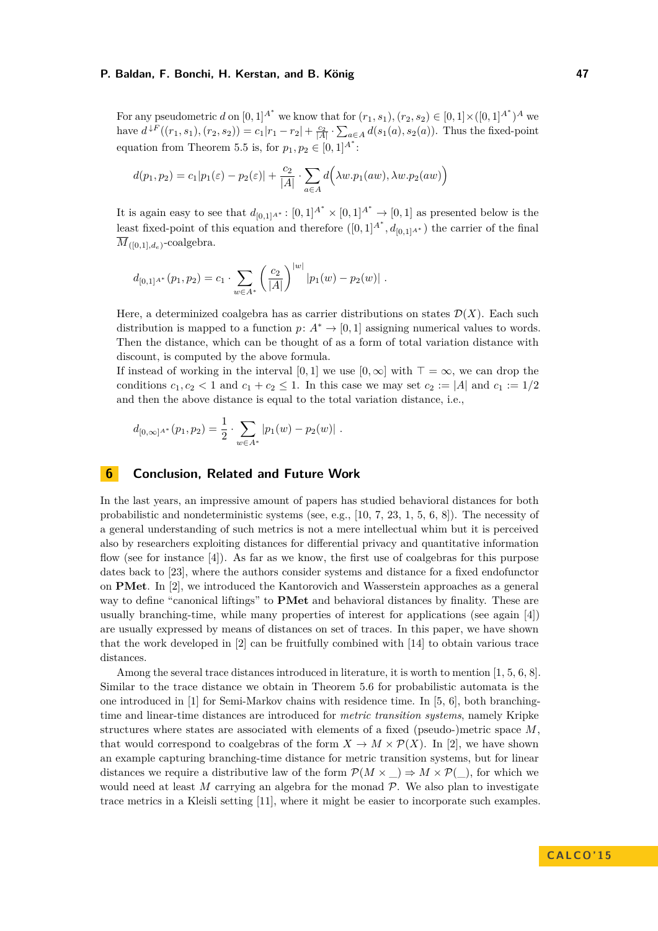For any pseudometric *d* on  $[0, 1]^{A^*}$  we know that for  $(r_1, s_1)$ ,  $(r_2, s_2) \in [0, 1] \times ([0, 1]^{A^*})^A$  we have  $d^{LF}((r_1, s_1), (r_2, s_2)) = c_1 |r_1 - r_2| + \frac{c_2}{|A|} \cdot \sum_{a \in A} d(s_1(a), s_2(a))$ . Thus the fixed-point equation from [Theorem 5.5](#page-11-0) is, for  $p_1, p_2 \in [0, 1]^{A^*}$ :

$$
d(p_1, p_2) = c_1|p_1(\varepsilon) - p_2(\varepsilon)| + \frac{c_2}{|A|} \cdot \sum_{a \in A} d(\lambda w. p_1(aw), \lambda w. p_2(aw))
$$

It is again easy to see that  $d_{[0,1]A^*} : [0,1]^{A^*} \times [0,1]^{A^*} \to [0,1]$  as presented below is the least fixed-point of this equation and therefore  $([0,1]^{A^*}, d_{[0,1]^{A^*}})$  the carrier of the final  $M_{([0,1],d_e)}$ -coalgebra.

$$
d_{[0,1]A^*}(p_1, p_2) = c_1 \cdot \sum_{w \in A^*} \left(\frac{c_2}{|A|}\right)^{|w|} |p_1(w) - p_2(w)|.
$$

Here, a determinized coalgebra has as carrier distributions on states  $\mathcal{D}(X)$ . Each such distribution is mapped to a function  $p: A^* \to [0, 1]$  assigning numerical values to words. Then the distance, which can be thought of as a form of total variation distance with discount, is computed by the above formula.

If instead of working in the interval [0, 1] we use  $[0, \infty]$  with  $\top = \infty$ , we can drop the conditions  $c_1, c_2 < 1$  and  $c_1 + c_2 \leq 1$ . In this case we may set  $c_2 := |A|$  and  $c_1 := 1/2$ and then the above distance is equal to the total variation distance, i.e.,

$$
d_{[0,\infty]^{A^*}}(p_1,p_2) = \frac{1}{2} \cdot \sum_{w \in A^*} |p_1(w) - p_2(w)|.
$$

## <span id="page-12-0"></span>**6 Conclusion, Related and Future Work**

In the last years, an impressive amount of papers has studied behavioral distances for both probabilistic and nondeterministic systems (see, e.g., [\[10,](#page-14-0) [7,](#page-14-1) [23,](#page-14-2) [1,](#page-13-0) [5,](#page-13-1) [6,](#page-14-3) [8\]](#page-14-4)). The necessity of a general understanding of such metrics is not a mere intellectual whim but it is perceived also by researchers exploiting distances for differential privacy and quantitative information flow (see for instance [\[4\]](#page-13-3)). As far as we know, the first use of coalgebras for this purpose dates back to [\[23\]](#page-14-2), where the authors consider systems and distance for a fixed endofunctor on **PMet**. In [\[2\]](#page-13-2), we introduced the Kantorovich and Wasserstein approaches as a general way to define "canonical liftings" to **PMet** and behavioral distances by finality. These are usually branching-time, while many properties of interest for applications (see again [\[4\]](#page-13-3)) are usually expressed by means of distances on set of traces. In this paper, we have shown that the work developed in [\[2\]](#page-13-2) can be fruitfully combined with [\[14\]](#page-14-9) to obtain various trace distances.

Among the several trace distances introduced in literature, it is worth to mention [\[1,](#page-13-0) [5,](#page-13-1) [6,](#page-14-3) [8\]](#page-14-4). Similar to the trace distance we obtain in [Theorem 5.6](#page-11-1) for probabilistic automata is the one introduced in [\[1\]](#page-13-0) for Semi-Markov chains with residence time. In [\[5,](#page-13-1) [6\]](#page-14-3), both branchingtime and linear-time distances are introduced for *metric transition systems*, namely Kripke structures where states are associated with elements of a fixed (pseudo-)metric space *M*, that would correspond to coalgebras of the form  $X \to M \times \mathcal{P}(X)$ . In [\[2\]](#page-13-2), we have shown an example capturing branching-time distance for metric transition systems, but for linear distances we require a distributive law of the form  $\mathcal{P}(M \times ) \Rightarrow M \times \mathcal{P}( )$ , for which we would need at least  $M$  carrying an algebra for the monad  $P$ . We also plan to investigate trace metrics in a Kleisli setting [\[11\]](#page-14-14), where it might be easier to incorporate such examples.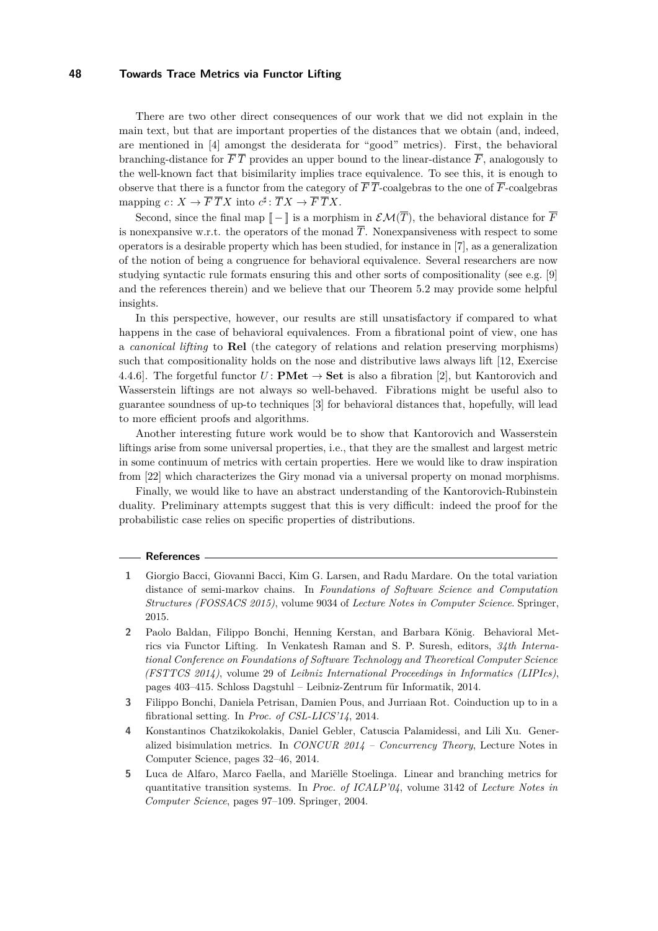There are two other direct consequences of our work that we did not explain in the main text, but that are important properties of the distances that we obtain (and, indeed, are mentioned in [\[4\]](#page-13-3) amongst the desiderata for "good" metrics). First, the behavioral branching-distance for  $\overline{F}$  *T* provides an upper bound to the linear-distance  $\overline{F}$ , analogously to the well-known fact that bisimilarity implies trace equivalence. To see this, it is enough to observe that there is a functor from the category of  $\overline{F}$  *T*-coalgebras to the one of  $\overline{F}$ -coalgebras mapping  $c: X \to \overline{F} \, \overline{T} X$  into  $c^{\sharp} \colon \overline{T} X \to \overline{F} \, \overline{T} X$ .

Second, since the final map  $[-\ ]$  is a morphism in  $\mathcal{EM}(\overline{T})$ , the behavioral distance for  $\overline{F}$ is nonexpansive w.r.t. the operators of the monad  $\overline{T}$ . Nonexpansiveness with respect to some operators is a desirable property which has been studied, for instance in [\[7\]](#page-14-1), as a generalization of the notion of being a congruence for behavioral equivalence. Several researchers are now studying syntactic rule formats ensuring this and other sorts of compositionality (see e.g. [\[9\]](#page-14-18) and the references therein) and we believe that our [Theorem 5.2](#page-10-0) may provide some helpful insights.

In this perspective, however, our results are still unsatisfactory if compared to what happens in the case of behavioral equivalences. From a fibrational point of view, one has a *canonical lifting* to **Rel** (the category of relations and relation preserving morphisms) such that compositionality holds on the nose and distributive laws always lift [\[12,](#page-14-19) Exercise 4.4.6]. The forgetful functor  $U:$  **PMet**  $\rightarrow$  **Set** is also a fibration [\[2\]](#page-13-2), but Kantorovich and Wasserstein liftings are not always so well-behaved. Fibrations might be useful also to guarantee soundness of up-to techniques [\[3\]](#page-13-4) for behavioral distances that, hopefully, will lead to more efficient proofs and algorithms.

Another interesting future work would be to show that Kantorovich and Wasserstein liftings arise from some universal properties, i.e., that they are the smallest and largest metric in some continuum of metrics with certain properties. Here we would like to draw inspiration from [\[22\]](#page-14-20) which characterizes the Giry monad via a universal property on monad morphisms.

Finally, we would like to have an abstract understanding of the Kantorovich-Rubinstein duality. Preliminary attempts suggest that this is very difficult: indeed the proof for the probabilistic case relies on specific properties of distributions.

#### **References**

- <span id="page-13-0"></span>**1** Giorgio Bacci, Giovanni Bacci, Kim G. Larsen, and Radu Mardare. On the total variation distance of semi-markov chains. In *Foundations of Software Science and Computation Structures (FOSSACS 2015)*, volume 9034 of *Lecture Notes in Computer Science*. Springer, 2015.
- <span id="page-13-2"></span>**2** Paolo Baldan, Filippo Bonchi, Henning Kerstan, and Barbara König. Behavioral Metrics via Functor Lifting. In Venkatesh Raman and S. P. Suresh, editors, *34th International Conference on Foundations of Software Technology and Theoretical Computer Science (FSTTCS 2014)*, volume 29 of *Leibniz International Proceedings in Informatics (LIPIcs)*, pages 403–415. Schloss Dagstuhl – Leibniz-Zentrum für Informatik, 2014.
- <span id="page-13-4"></span>**3** Filippo Bonchi, Daniela Petrisan, Damien Pous, and Jurriaan Rot. Coinduction up to in a fibrational setting. In *Proc. of CSL-LICS'14*, 2014.
- <span id="page-13-3"></span>**4** Konstantinos Chatzikokolakis, Daniel Gebler, Catuscia Palamidessi, and Lili Xu. Generalized bisimulation metrics. In *CONCUR 2014 – Concurrency Theory*, Lecture Notes in Computer Science, pages 32–46, 2014.
- <span id="page-13-1"></span>**5** Luca de Alfaro, Marco Faella, and Mariëlle Stoelinga. Linear and branching metrics for quantitative transition systems. In *Proc. of ICALP'04*, volume 3142 of *Lecture Notes in Computer Science*, pages 97–109. Springer, 2004.